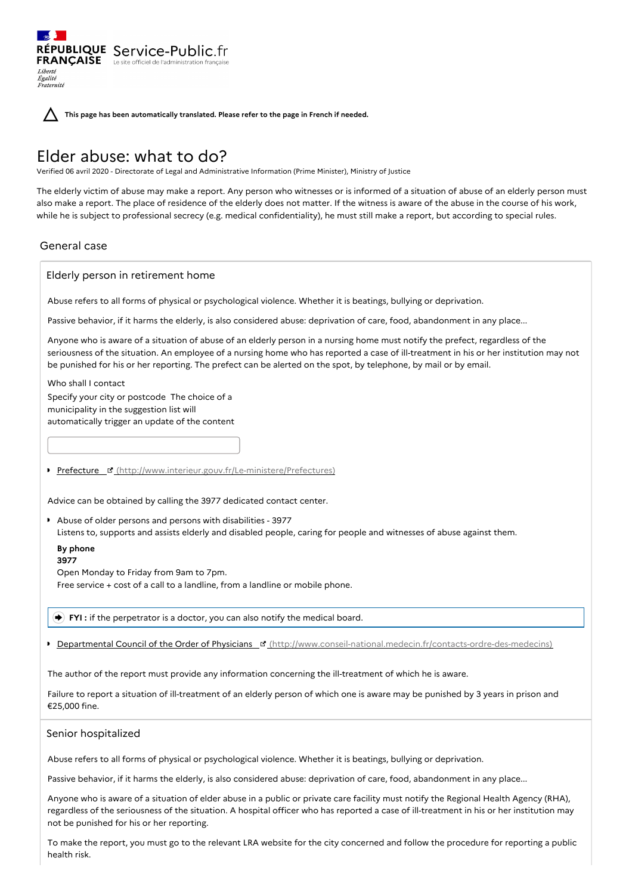**This page has been automatically translated. Please refer to the page in French if needed.**

# Elder abuse: what to do?

RÉPUBLIQUE Service-Public.fr **FRANÇAISE** Le site officiel de l'administration

Verified 06 avril 2020 - Directorate of Legal and Administrative Information (Prime Minister), Ministry of Justice

The elderly victim of abuse may make a report. Any person who witnesses or is informed of a situation of abuse of an elderly person must also make a report. The place of residence of the elderly does not matter. If the witness is aware of the abuse in the course of his work, while he is subject to professional secrecy (e.g. medical confidentiality), he must still make a report, but according to special rules.

## General case

Liberté Égalité<br>Fraternité

Elderly person in retirement home

Abuse refers to all forms of physical or psychological violence. Whether it is beatings, bullying or deprivation.

Passive behavior, if it harms the elderly, is also considered abuse: deprivation of care, food, abandonment in any place...

Anyone who is aware of a situation of abuse of an elderly person in a nursing home must notify the prefect, regardless of the seriousness of the situation. An employee of a nursing home who has reported a case of ill-treatment in his or her institution may not be punished for his or her reporting. The prefect can be alerted on the spot, by telephone, by mail or by email.

Who shall I contact Specify your city or postcode The choice of a municipality in the suggestion list will automatically trigger an update of the content

Prefecture ¤ [\(http://www.interieur.gouv.fr/Le-ministere/Prefectures\)](http://www.interieur.gouv.fr/Le-ministere/Prefectures)

Advice can be obtained by calling the 3977 dedicated contact center.

Abuse of older persons and persons with disabilities - 3977 Listens to, supports and assists elderly and disabled people, caring for people and witnesses of abuse against them.

### **By phone**

**3977**

Open Monday to Friday from 9am to 7pm.

Free service + cost of a call to a landline, from a landline or mobile phone.

**FYI** : if the perpetrator is a doctor, you can also notify the medical board.

Departmental Council of the Order of Physicians [\(http://www.conseil-national.medecin.fr/contacts-ordre-des-medecins\)](http://www.conseil-national.medecin.fr/contacts-ordre-des-medecins)

The author of the report must provide any information concerning the ill-treatment of which he is aware.

Failure to report a situation of ill-treatment of an elderly person of which one is aware may be punished by 3 years in prison and €25,000 fine.

## Senior hospitalized

Abuse refers to all forms of physical or psychological violence. Whether it is beatings, bullying or deprivation.

Passive behavior, if it harms the elderly, is also considered abuse: deprivation of care, food, abandonment in any place...

Anyone who is aware of a situation of elder abuse in a public or private care facility must notify the Regional Health Agency (RHA), regardless of the seriousness of the situation. A hospital officer who has reported a case of ill-treatment in his or her institution may not be punished for his or her reporting.

To make the report, you must go to the relevant LRA website for the city concerned and follow the procedure for reporting a public health risk.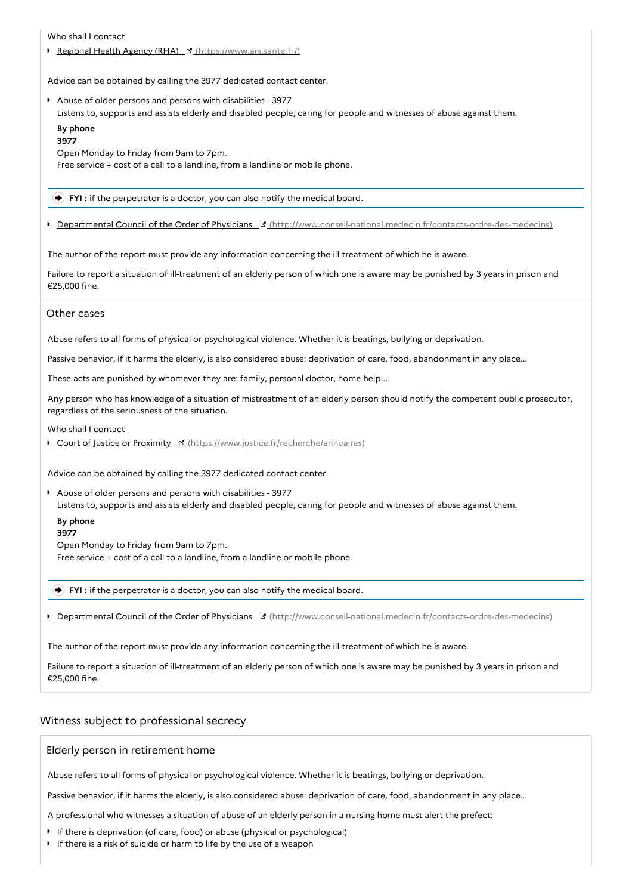Who shall I contact

Regional Health Agency (RHA) I [\(https://www.ars.sante.fr/\)](https://www.ars.sante.fr/)

Advice can be obtained by calling the 3977 dedicated contact center.

Abuse of older persons and persons with disabilities - 3977

Listens to, supports and assists elderly and disabled people, caring for people and witnesses of abuse against them.

#### **By phone 3977**

Open Monday to Friday from 9am to 7pm.

Free service + cost of a call to a landline, from a landline or mobile phone.

**FYI :** if the perpetrator is a doctor, you can also notify the medical board.

Departmental Council of the Order of Physicians **B** [\(http://www.conseil-national.medecin.fr/contacts-ordre-des-medecins\)](http://www.conseil-national.medecin.fr/contacts-ordre-des-medecins)

The author of the report must provide any information concerning the ill-treatment of which he is aware.

Failure to report a situation of ill-treatment of an elderly person of which one is aware may be punished by 3 years in prison and €25,000 fine.

### Other cases

Abuse refers to all forms of physical or psychological violence. Whether it is beatings, bullying or deprivation.

Passive behavior, if it harms the elderly, is also considered abuse: deprivation of care, food, abandonment in any place...

These acts are punished by whomever they are: family, personal doctor, home help...

Any person who has knowledge of a situation of mistreatment of an elderly person should notify the competent public prosecutor, regardless of the seriousness of the situation.

#### Who shall I contact

**Court of Justice or Proximity E' [\(https://www.justice.fr/recherche/annuaires\)](https://www.justice.fr/recherche/annuaires)** 

Advice can be obtained by calling the 3977 dedicated contact center.

Abuse of older persons and persons with disabilities - 3977 Listens to, supports and assists elderly and disabled people, caring for people and witnesses of abuse against them.

#### **By phone 3977**

Open Monday to Friday from 9am to 7pm.

Free service + cost of a call to a landline, from a landline or mobile phone.

**FYI :** if the perpetrator is a doctor, you can also notify the medical board.

Departmental Council of the Order of Physicians [4] [\(http://www.conseil-national.medecin.fr/contacts-ordre-des-medecins\)](http://www.conseil-national.medecin.fr/contacts-ordre-des-medecins)

The author of the report must provide any information concerning the ill-treatment of which he is aware.

Failure to report a situation of ill-treatment of an elderly person of which one is aware may be punished by 3 years in prison and €25,000 fine.

## Witness subject to professional secrecy

### Elderly person in retirement home

Abuse refers to all forms of physical or psychological violence. Whether it is beatings, bullying or deprivation.

Passive behavior, if it harms the elderly, is also considered abuse: deprivation of care, food, abandonment in any place...

A professional who witnesses a situation of abuse of an elderly person in a nursing home must alert the prefect:

- If there is deprivation (of care, food) or abuse (physical or psychological)
- If there is a risk of suicide or harm to life by the use of a weapon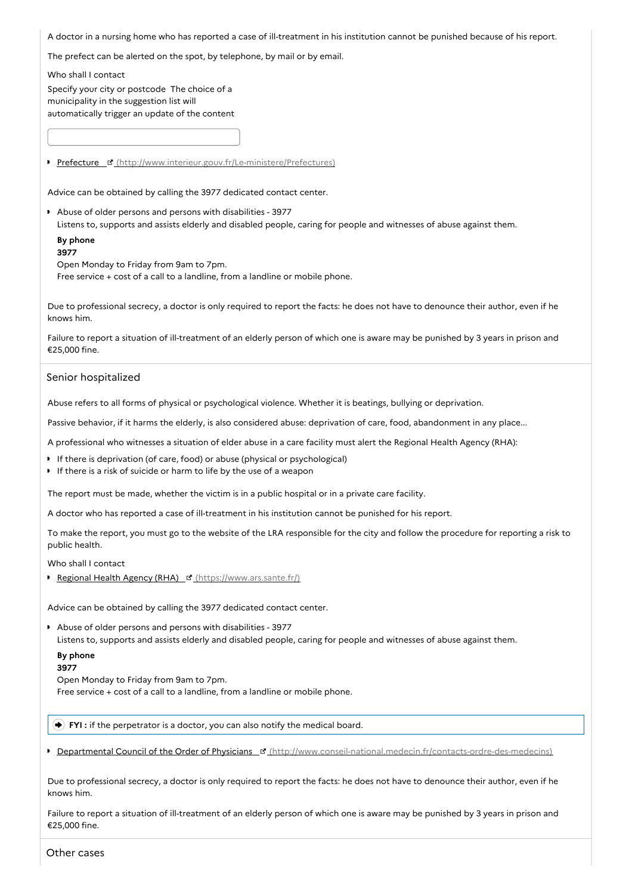A doctor in a nursing home who has reported a case of ill-treatment in his institution cannot be punished because of his report.

The prefect can be alerted on the spot, by telephone, by mail or by email.

Who shall I contact

Specify your city or postcode The choice of a municipality in the suggestion list will automatically trigger an update of the content

Prefecture & [\(http://www.interieur.gouv.fr/Le-ministere/Prefectures\)](http://www.interieur.gouv.fr/Le-ministere/Prefectures)

Advice can be obtained by calling the 3977 dedicated contact center.

Abuse of older persons and persons with disabilities - 3977 Listens to, supports and assists elderly and disabled people, caring for people and witnesses of abuse against them.

#### **By phone 3977**

Open Monday to Friday from 9am to 7pm.

Free service + cost of a call to a landline, from a landline or mobile phone.

Due to professional secrecy, a doctor is only required to report the facts: he does not have to denounce their author, even if he knows him.

Failure to report a situation of ill-treatment of an elderly person of which one is aware may be punished by 3 years in prison and €25,000 fine.

## Senior hospitalized

Abuse refers to all forms of physical or psychological violence. Whether it is beatings, bullying or deprivation.

Passive behavior, if it harms the elderly, is also considered abuse: deprivation of care, food, abandonment in any place...

A professional who witnesses a situation of elder abuse in a care facility must alert the Regional Health Agency (RHA):

- If there is deprivation (of care, food) or abuse (physical or psychological)
- If there is a risk of suicide or harm to life by the use of a weapon

The report must be made, whether the victim is in a public hospital or in a private care facility.

A doctor who has reported a case of ill-treatment in his institution cannot be punished for his report.

To make the report, you must go to the website of the LRA responsible for the city and follow the procedure for reporting a risk to public health.

Who shall I contact

Regional Health Agency (RHA) E' [\(https://www.ars.sante.fr/\)](https://www.ars.sante.fr/)

Advice can be obtained by calling the 3977 dedicated contact center.

Abuse of older persons and persons with disabilities - 3977 Listens to, supports and assists elderly and disabled people, caring for people and witnesses of abuse against them.

## **By phone**

**3977**

Open Monday to Friday from 9am to 7pm.

Free service + cost of a call to a landline, from a landline or mobile phone.

**FYI** : if the perpetrator is a doctor, you can also notify the medical board.

Departmental Council of the Order of Physicians **E** [\(http://www.conseil-national.medecin.fr/contacts-ordre-des-medecins\)](http://www.conseil-national.medecin.fr/contacts-ordre-des-medecins)

Due to professional secrecy, a doctor is only required to report the facts: he does not have to denounce their author, even if he knows him.

Failure to report a situation of ill-treatment of an elderly person of which one is aware may be punished by 3 years in prison and €25,000 fine.

Other cases